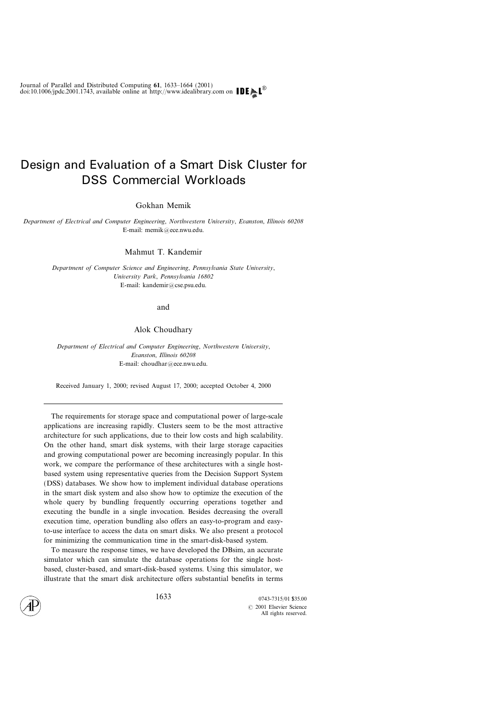# Design and Evaluation of a Smart Disk Cluster for DSS Commercial Workloads

Gokhan Memik

Department of Electrical and Computer Engineering, Northwestern University, Evanston, Illinois 60208 E-mail: memik@ece.nwu.edu.

### Mahmut T. Kandemir

Department of Computer Science and Engineering, Pennsylvania State University, University Park, Pennsylvania 16802 E-mail: kandemir@cse.psu.edu.

and

### Alok Choudhary

Department of Electrical and Computer Engineering, Northwestern University, Evanston, Illinois 60208 E-mail: choudhar@ece.nwu.edu.

Received January 1, 2000; revised August 17, 2000; accepted October 4, 2000

The requirements for storage space and computational power of large-scale applications are increasing rapidly. Clusters seem to be the most attractive architecture for such applications, due to their low costs and high scalability. On the other hand, smart disk systems, with their large storage capacities and growing computational power are becoming increasingly popular. In this work, we compare the performance of these architectures with a single hostbased system using representative queries from the Decision Support System (DSS) databases. We show how to implement individual database operations in the smart disk system and also show how to optimize the execution of the whole query by bundling frequently occurring operations together and executing the bundle in a single invocation. Besides decreasing the overall execution time, operation bundling also offers an easy-to-program and easyto-use interface to access the data on smart disks. We also present a protocol for minimizing the communication time in the smart-disk-based system.

To measure the response times, we have developed the DBsim, an accurate simulator which can simulate the database operations for the single hostbased, cluster-based, and smart-disk-based systems. Using this simulator, we illustrate that the smart disk architecture offers substantial benefits in terms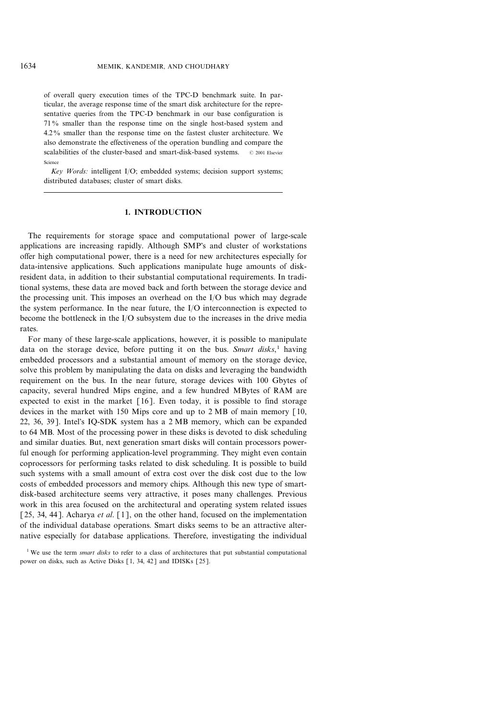of overall query execution times of the TPC-D benchmark suite. In particular, the average response time of the smart disk architecture for the representative queries from the TPC-D benchmark in our base configuration is 710 smaller than the response time on the single host-based system and 4.2% smaller than the response time on the fastest cluster architecture. We also demonstrate the effectiveness of the operation bundling and compare the scalabilities of the cluster-based and smart-disk-based systems.  $\circ$  2001 Elsevier Science

Key Words: intelligent I/O; embedded systems; decision support systems; distributed databases; cluster of smart disks.

### 1. INTRODUCTION

The requirements for storage space and computational power of large-scale applications are increasing rapidly. Although SMP's and cluster of workstations offer high computational power, there is a need for new architectures especially for data-intensive applications. Such applications manipulate huge amounts of diskresident data, in addition to their substantial computational requirements. In traditional systems, these data are moved back and forth between the storage device and the processing unit. This imposes an overhead on the  $I/O$  bus which may degrade the system performance. In the near future, the IO interconnection is expected to become the bottleneck in the I/O subsystem due to the increases in the drive media rates.

For many of these large-scale applications, however, it is possible to manipulate data on the storage device, before putting it on the bus. Smart disks,<sup>1</sup> having embedded processors and a substantial amount of memory on the storage device, solve this problem by manipulating the data on disks and leveraging the bandwidth requirement on the bus. In the near future, storage devices with 100 Gbytes of capacity, several hundred Mips engine, and a few hundred MBytes of RAM are expected to exist in the market  $\lceil 16 \rceil$ . Even today, it is possible to find storage devices in the market with 150 Mips core and up to  $2 \text{ MB}$  of main memory  $\lceil 10 \rceil$ 22, 36, 39]. Intel's IQ-SDK system has a 2 MB memory, which can be expanded to 64 MB. Most of the processing power in these disks is devoted to disk scheduling and similar duaties. But, next generation smart disks will contain processors powerful enough for performing application-level programming. They might even contain coprocessors for performing tasks related to disk scheduling. It is possible to build such systems with a small amount of extra cost over the disk cost due to the low costs of embedded processors and memory chips. Although this new type of smartdisk-based architecture seems very attractive, it poses many challenges. Previous work in this area focused on the architectural and operating system related issues [25, 34, 44]. Acharya et al. [1], on the other hand, focused on the implementation of the individual database operations. Smart disks seems to be an attractive alternative especially for database applications. Therefore, investigating the individual

<sup>&</sup>lt;sup>1</sup> We use the term *smart disks* to refer to a class of architectures that put substantial computational power on disks, such as Active Disks [1, 34, 42] and IDISKs [25].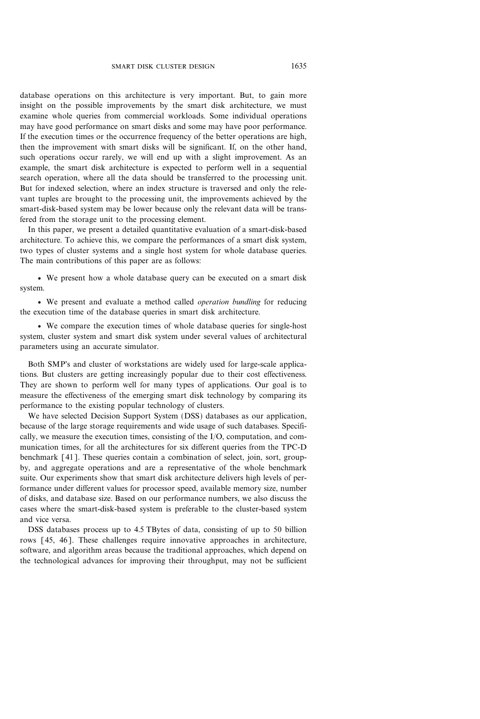database operations on this architecture is very important. But, to gain more insight on the possible improvements by the smart disk architecture, we must examine whole queries from commercial workloads. Some individual operations may have good performance on smart disks and some may have poor performance. If the execution times or the occurrence frequency of the better operations are high, then the improvement with smart disks will be significant. If, on the other hand, such operations occur rarely, we will end up with a slight improvement. As an example, the smart disk architecture is expected to perform well in a sequential search operation, where all the data should be transferred to the processing unit. But for indexed selection, where an index structure is traversed and only the relevant tuples are brought to the processing unit, the improvements achieved by the smart-disk-based system may be lower because only the relevant data will be transfered from the storage unit to the processing element.

In this paper, we present a detailed quantitative evaluation of a smart-disk-based architecture. To achieve this, we compare the performances of a smart disk system, two types of cluster systems and a single host system for whole database queries. The main contributions of this paper are as follows:

v We present how a whole database query can be executed on a smart disk system.

• We present and evaluate a method called *operation bundling* for reducing the execution time of the database queries in smart disk architecture.

v We compare the execution times of whole database queries for single-host system, cluster system and smart disk system under several values of architectural parameters using an accurate simulator.

Both SMP's and cluster of workstations are widely used for large-scale applications. But clusters are getting increasingly popular due to their cost effectiveness. They are shown to perform well for many types of applications. Our goal is to measure the effectiveness of the emerging smart disk technology by comparing its performance to the existing popular technology of clusters.

We have selected Decision Support System (DSS) databases as our application, because of the large storage requirements and wide usage of such databases. Specifically, we measure the execution times, consisting of the I/O, computation, and communication times, for all the architectures for six different queries from the TPC-D benchmark [41]. These queries contain a combination of select, join, sort, groupby, and aggregate operations and are a representative of the whole benchmark suite. Our experiments show that smart disk architecture delivers high levels of performance under different values for processor speed, available memory size, number of disks, and database size. Based on our performance numbers, we also discuss the cases where the smart-disk-based system is preferable to the cluster-based system and vice versa.

DSS databases process up to 4.5 TBytes of data, consisting of up to 50 billion rows [45, 46]. These challenges require innovative approaches in architecture, software, and algorithm areas because the traditional approaches, which depend on the technological advances for improving their throughput, may not be sufficient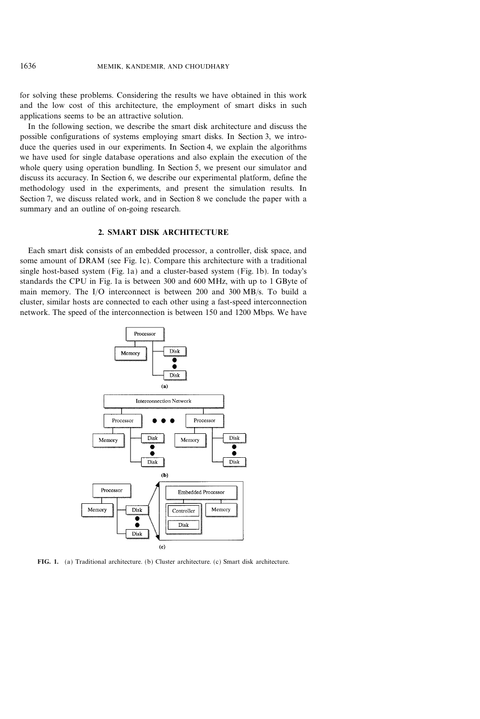for solving these problems. Considering the results we have obtained in this work and the low cost of this architecture, the employment of smart disks in such applications seems to be an attractive solution.

In the following section, we describe the smart disk architecture and discuss the possible configurations of systems employing smart disks. In Section 3, we introduce the queries used in our experiments. In Section 4, we explain the algorithms we have used for single database operations and also explain the execution of the whole query using operation bundling. In Section 5, we present our simulator and discuss its accuracy. In Section 6, we describe our experimental platform, define the methodology used in the experiments, and present the simulation results. In Section 7, we discuss related work, and in Section 8 we conclude the paper with a summary and an outline of on-going research.

### 2. SMART DISK ARCHITECTURE

Each smart disk consists of an embedded processor, a controller, disk space, and some amount of DRAM (see Fig. 1c). Compare this architecture with a traditional single host-based system (Fig. 1a) and a cluster-based system (Fig. 1b). In today's standards the CPU in Fig. 1a is between 300 and 600 MHz, with up to 1 GByte of main memory. The  $I/O$  interconnect is between 200 and 300 MB/s. To build a cluster, similar hosts are connected to each other using a fast-speed interconnection network. The speed of the interconnection is between 150 and 1200 Mbps. We have



FIG. 1. (a) Traditional architecture. (b) Cluster architecture. (c) Smart disk architecture.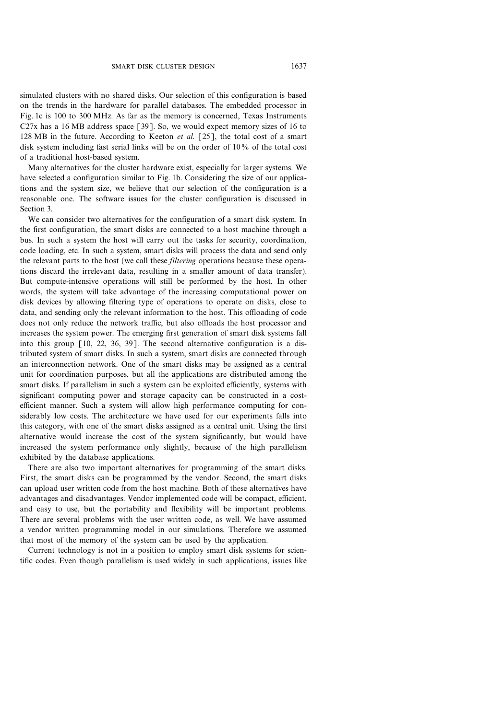simulated clusters with no shared disks. Our selection of this configuration is based on the trends in the hardware for parallel databases. The embedded processor in Fig. 1c is 100 to 300 MHz. As far as the memory is concerned, Texas Instruments C27x has a 16 MB address space [39]. So, we would expect memory sizes of 16 to 128 MB in the future. According to Keeton *et al.* [25], the total cost of a smart disk system including fast serial links will be on the order of  $10\%$  of the total cost of a traditional host-based system.

Many alternatives for the cluster hardware exist, especially for larger systems. We have selected a configuration similar to Fig. 1b. Considering the size of our applications and the system size, we believe that our selection of the configuration is a reasonable one. The software issues for the cluster configuration is discussed in Section 3.

We can consider two alternatives for the configuration of a smart disk system. In the first configuration, the smart disks are connected to a host machine through a bus. In such a system the host will carry out the tasks for security, coordination, code loading, etc. In such a system, smart disks will process the data and send only the relevant parts to the host (we call these *filtering* operations because these operations discard the irrelevant data, resulting in a smaller amount of data transfer). But compute-intensive operations will still be performed by the host. In other words, the system will take advantage of the increasing computational power on disk devices by allowing filtering type of operations to operate on disks, close to data, and sending only the relevant information to the host. This offloading of code does not only reduce the network traffic, but also offloads the host processor and increases the system power. The emerging first generation of smart disk systems fall into this group [10, 22, 36, 39]. The second alternative configuration is a distributed system of smart disks. In such a system, smart disks are connected through an interconnection network. One of the smart disks may be assigned as a central unit for coordination purposes, but all the applications are distributed among the smart disks. If parallelism in such a system can be exploited efficiently, systems with significant computing power and storage capacity can be constructed in a costefficient manner. Such a system will allow high performance computing for considerably low costs. The architecture we have used for our experiments falls into this category, with one of the smart disks assigned as a central unit. Using the first alternative would increase the cost of the system significantly, but would have increased the system performance only slightly, because of the high parallelism exhibited by the database applications.

There are also two important alternatives for programming of the smart disks. First, the smart disks can be programmed by the vendor. Second, the smart disks can upload user written code from the host machine. Both of these alternatives have advantages and disadvantages. Vendor implemented code will be compact, efficient, and easy to use, but the portability and flexibility will be important problems. There are several problems with the user written code, as well. We have assumed a vendor written programming model in our simulations. Therefore we assumed that most of the memory of the system can be used by the application.

Current technology is not in a position to employ smart disk systems for scientific codes. Even though parallelism is used widely in such applications, issues like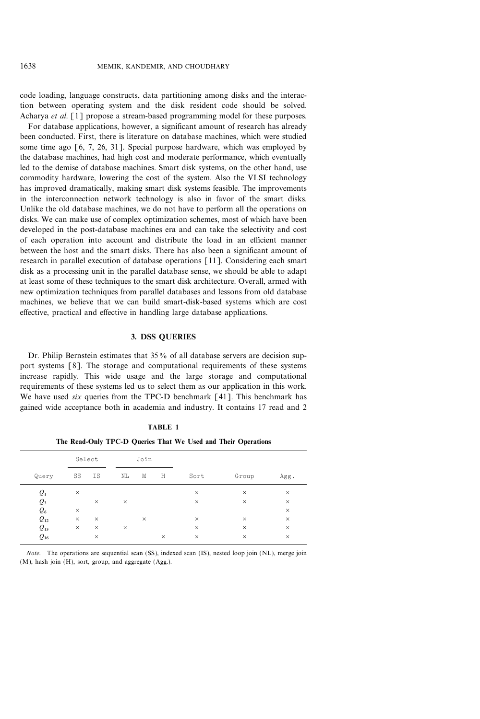code loading, language constructs, data partitioning among disks and the interaction between operating system and the disk resident code should be solved. Acharya et al. [1] propose a stream-based programming model for these purposes.

For database applications, however, a significant amount of research has already been conducted. First, there is literature on database machines, which were studied some time ago [6, 7, 26, 31]. Special purpose hardware, which was employed by the database machines, had high cost and moderate performance, which eventually led to the demise of database machines. Smart disk systems, on the other hand, use commodity hardware, lowering the cost of the system. Also the VLSI technology has improved dramatically, making smart disk systems feasible. The improvements in the interconnection network technology is also in favor of the smart disks. Unlike the old database machines, we do not have to perform all the operations on disks. We can make use of complex optimization schemes, most of which have been developed in the post-database machines era and can take the selectivity and cost of each operation into account and distribute the load in an efficient manner between the host and the smart disks. There has also been a significant amount of research in parallel execution of database operations [11]. Considering each smart disk as a processing unit in the parallel database sense, we should be able to adapt at least some of these techniques to the smart disk architecture. Overall, armed with new optimization techniques from parallel databases and lessons from old database machines, we believe that we can build smart-disk-based systems which are cost effective, practical and effective in handling large database applications.

### 3. DSS QUERIES

Dr. Philip Bernstein estimates that 35% of all database servers are decision support systems [8]. The storage and computational requirements of these systems increase rapidly. This wide usage and the large storage and computational requirements of these systems led us to select them as our application in this work. We have used *six* queries from the TPC-D benchmark  $[41]$ . This benchmark has gained wide acceptance both in academia and industry. It contains 17 read and 2

|                 |          |          |          | -        |          |          |          |          |
|-----------------|----------|----------|----------|----------|----------|----------|----------|----------|
|                 |          | Select   |          | Join     |          |          |          |          |
| Query           | SS       | IS       | ΝL       | M        | H        | Sort     | Group    | Agg.     |
| $Q_{1}$         | $\times$ |          |          |          |          | $\times$ | $\times$ | $\times$ |
| $Q_3$           |          | $\times$ | $\times$ |          |          | $\times$ | $\times$ | $\times$ |
| $\mathcal{Q}_6$ | $\times$ |          |          |          |          |          |          | $\times$ |
| $Q_{12}$        | $\times$ | $\times$ |          | $\times$ |          | $\times$ | $\times$ | $\times$ |
| $Q_{13}$        | $\times$ | $\times$ | $\times$ |          |          | $\times$ | $\times$ | $\times$ |
| $Q_{16}$        |          | $\times$ |          |          | $\times$ | $\times$ | $\times$ | $\times$ |
|                 |          |          |          |          |          |          |          |          |

TABLE 1

The Read-Only TPC-D Queries That We Used and Their Operations

Note. The operations are sequential scan (SS), indexed scan (IS), nested loop join (NL), merge join (M), hash join (H), sort, group, and aggregate (Agg.).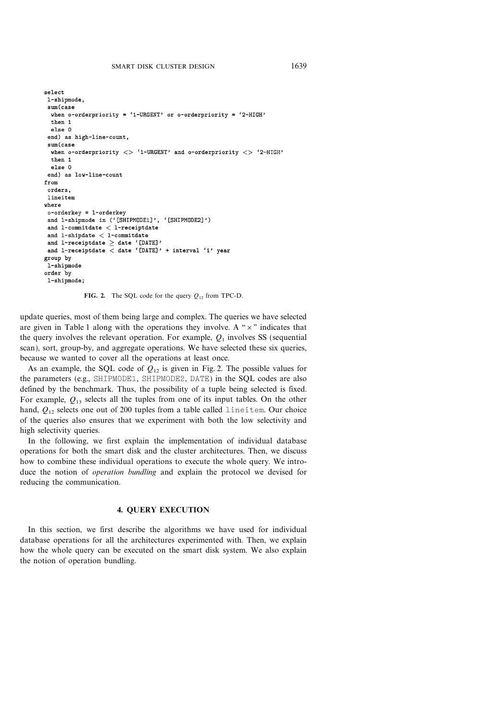```
select
l-shipmode,
sum(case
  when o-orderpriority = '1-URGENT' or o-orderpriority = '2-HIGH'
  then 1
  Also 0end) as high-line-count,
 sum(case
 when o-orderpriority \langle '1-URGENT' and o-orderpriority \langle '2-HIGH'
 then 1
  else 0
end) as low-line-count
from
orders.
lineitem
where
 o-orderkey = 1-orderkey
and 1-shipmode in ('[SHIPMODE1]', '[SHIPMODE2]')
 and 1-commitdate \langle 1-receiptdate
 and 1-shipdate \langle 1-commitdate
and 1-receiptdate \geq date '[DATE]'
and 1-receiptdate \langle date '[DATE]' + interval '1' year
group by
1-shipmode
order by
l-shipmode;
```
FIG. 2. The SQL code for the query  $Q_{12}$  from TPC-D.

update queries, most of them being large and complex. The queries we have selected are given in Table 1 along with the operations they involve. A " $\times$ " indicates that the query involves the relevant operation. For example,  $Q_1$  involves SS (sequential scan), sort, group-by, and aggregate operations. We have selected these six queries, because we wanted to cover all the operations at least once.

As an example, the SQL code of  $Q_{12}$  is given in Fig. 2. The possible values for the parameters (e.g., SHIPMODE1, SHIPMODE2, DATE) in the SQL codes are also defined by the benchmark. Thus, the possibility of a tuple being selected is fixed. For example,  $Q_{13}$  selects all the tuples from one of its input tables. On the other hand,  $Q_{12}$  selects one out of 200 tuples from a table called lineitem. Our choice of the queries also ensures that we experiment with both the low selectivity and high selectivity queries.

In the following, we first explain the implementation of individual database operations for both the smart disk and the cluster architectures. Then, we discuss how to combine these individual operations to execute the whole query. We introduce the notion of operation bundling and explain the protocol we devised for reducing the communication.

### 4. QUERY EXECUTION

In this section, we first describe the algorithms we have used for individual database operations for all the architectures experimented with. Then, we explain how the whole query can be executed on the smart disk system. We also explain the notion of operation bundling.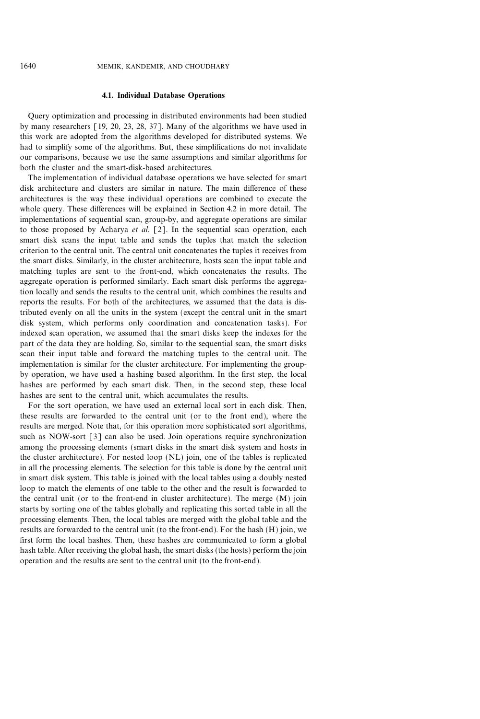#### 4.1. Individual Database Operations

Query optimization and processing in distributed environments had been studied by many researchers [19, 20, 23, 28, 37]. Many of the algorithms we have used in this work are adopted from the algorithms developed for distributed systems. We had to simplify some of the algorithms. But, these simplifications do not invalidate our comparisons, because we use the same assumptions and similar algorithms for both the cluster and the smart-disk-based architectures.

The implementation of individual database operations we have selected for smart disk architecture and clusters are similar in nature. The main difference of these architectures is the way these individual operations are combined to execute the whole query. These differences will be explained in Section 4.2 in more detail. The implementations of sequential scan, group-by, and aggregate operations are similar to those proposed by Acharya et al.  $[2]$ . In the sequential scan operation, each smart disk scans the input table and sends the tuples that match the selection criterion to the central unit. The central unit concatenates the tuples it receives from the smart disks. Similarly, in the cluster architecture, hosts scan the input table and matching tuples are sent to the front-end, which concatenates the results. The aggregate operation is performed similarly. Each smart disk performs the aggregation locally and sends the results to the central unit, which combines the results and reports the results. For both of the architectures, we assumed that the data is distributed evenly on all the units in the system (except the central unit in the smart disk system, which performs only coordination and concatenation tasks). For indexed scan operation, we assumed that the smart disks keep the indexes for the part of the data they are holding. So, similar to the sequential scan, the smart disks scan their input table and forward the matching tuples to the central unit. The implementation is similar for the cluster architecture. For implementing the groupby operation, we have used a hashing based algorithm. In the first step, the local hashes are performed by each smart disk. Then, in the second step, these local hashes are sent to the central unit, which accumulates the results.

For the sort operation, we have used an external local sort in each disk. Then, these results are forwarded to the central unit (or to the front end), where the results are merged. Note that, for this operation more sophisticated sort algorithms, such as NOW-sort [3] can also be used. Join operations require synchronization among the processing elements (smart disks in the smart disk system and hosts in the cluster architecture). For nested loop (NL) join, one of the tables is replicated in all the processing elements. The selection for this table is done by the central unit in smart disk system. This table is joined with the local tables using a doubly nested loop to match the elements of one table to the other and the result is forwarded to the central unit (or to the front-end in cluster architecture). The merge (M) join starts by sorting one of the tables globally and replicating this sorted table in all the processing elements. Then, the local tables are merged with the global table and the results are forwarded to the central unit (to the front-end). For the hash (H) join, we first form the local hashes. Then, these hashes are communicated to form a global hash table. After receiving the global hash, the smart disks (the hosts) perform the join operation and the results are sent to the central unit (to the front-end).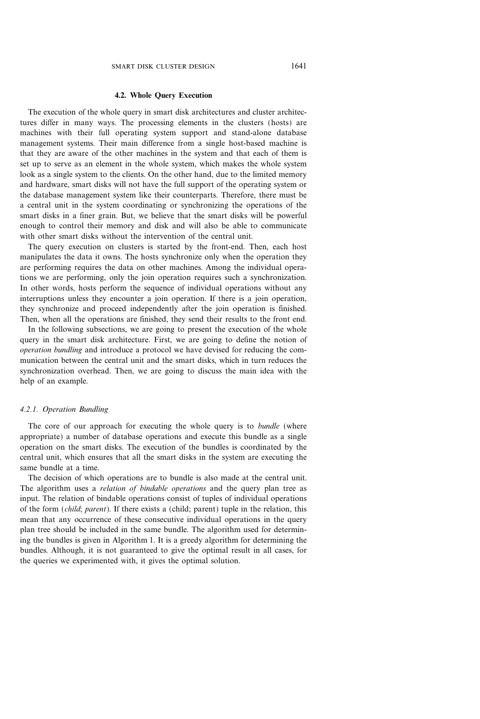### 4.2. Whole Query Execution

The execution of the whole query in smart disk architectures and cluster architectures differ in many ways. The processing elements in the clusters (hosts) are machines with their full operating system support and stand-alone database management systems. Their main difference from a single host-based machine is that they are aware of the other machines in the system and that each of them is set up to serve as an element in the whole system, which makes the whole system look as a single system to the clients. On the other hand, due to the limited memory and hardware, smart disks will not have the full support of the operating system or the database management system like their counterparts. Therefore, there must be a central unit in the system coordinating or synchronizing the operations of the smart disks in a finer grain. But, we believe that the smart disks will be powerful enough to control their memory and disk and will also be able to communicate with other smart disks without the intervention of the central unit.

The query execution on clusters is started by the front-end. Then, each host manipulates the data it owns. The hosts synchronize only when the operation they are performing requires the data on other machines. Among the individual operations we are performing, only the join operation requires such a synchronization. In other words, hosts perform the sequence of individual operations without any interruptions unless they encounter a join operation. If there is a join operation, they synchronize and proceed independently after the join operation is finished. Then, when all the operations are finished, they send their results to the front end.

In the following subsections, we are going to present the execution of the whole query in the smart disk architecture. First, we are going to define the notion of operation bundling and introduce a protocol we have devised for reducing the communication between the central unit and the smart disks, which in turn reduces the synchronization overhead. Then, we are going to discuss the main idea with the help of an example.

#### 4.2.1. Operation Bundling

The core of our approach for executing the whole query is to *bundle* (where appropriate) a number of database operations and execute this bundle as a single operation on the smart disks. The execution of the bundles is coordinated by the central unit, which ensures that all the smart disks in the system are executing the same bundle at a time.

The decision of which operations are to bundle is also made at the central unit. The algorithm uses a *relation of bindable operations* and the query plan tree as input. The relation of bindable operations consist of tuples of individual operations of the form (child; parent). If there exists a (child; parent) tuple in the relation, this mean that any occurrence of these consecutive individual operations in the query plan tree should be included in the same bundle. The algorithm used for determining the bundles is given in Algorithm 1. It is a greedy algorithm for determining the bundles. Although, it is not guaranteed to give the optimal result in all cases, for the queries we experimented with, it gives the optimal solution.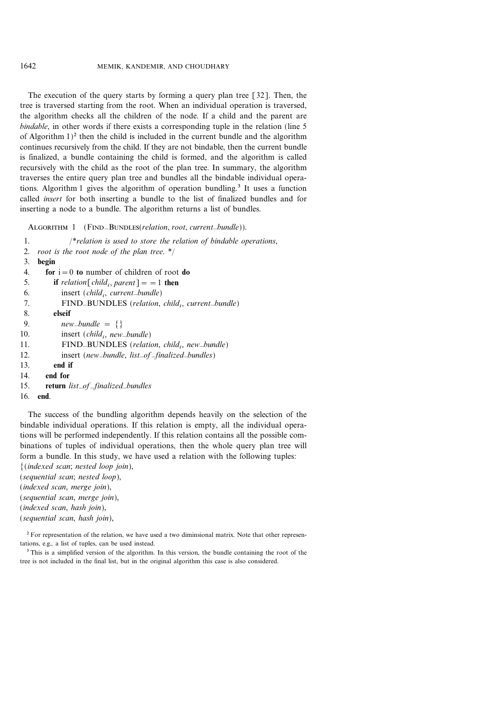The execution of the query starts by forming a query plan tree  $\lceil 32 \rceil$ . Then, the tree is traversed starting from the root. When an individual operation is traversed, the algorithm checks all the children of the node. If a child and the parent are bindable, in other words if there exists a corresponding tuple in the relation (line 5 of Algorithm  $1^2$  then the child is included in the current bundle and the algorithm continues recursively from the child. If they are not bindable, then the current bundle is finalized, a bundle containing the child is formed, and the algorithm is called recursively with the child as the root of the plan tree. In summary, the algorithm traverses the entire query plan tree and bundles all the bindable individual operations. Algorithm 1 gives the algorithm of operation bundling.<sup>3</sup> It uses a function called insert for both inserting a bundle to the list of finalized bundles and for inserting a node to a bundle. The algorithm returns a list of bundles.

ALGORITHM 1  $(FIND_BUNDEs(relation, root, current_bundle)).$ 

```
1. \frac{1}{\epsilon} /* relation is used to store the relation of bindable operations,
2. root is the root node of the plan tree. */3. begin
4. for i = 0 to number of children of root do
 5. if relation [child<sub>i</sub>, parent] = =1 then
6. insert \text{(child}_i, \text{current\_bundle})7. FIND_BUNDLES (relation, child<sub>i</sub>, current_bundle)
8. elseif
9. new_bundle = \{\}<br>10. insert (child, newinsert (child<sub>i</sub>, new_bundle)
11. FIND_BUNDLES (relation, child,, new_bundle)
12. insert (new_bundle, list_of_finalized_bundles)
13. end if
14. end for
15. return list_of_finalized_bundles
16. end.
```
The success of the bundling algorithm depends heavily on the selection of the bindable individual operations. If this relation is empty, all the individual operations will be performed independently. If this relation contains all the possible combinations of tuples of individual operations, then the whole query plan tree will form a bundle. In this study, we have used a relation with the following tuples:  $\{$ (indexed scan; nested loop join),

(sequential scan; nested loop), (indexed scan, merge join), (sequential scan, merge join), (indexed scan, hash join), (sequential scan, hash join),

<sup>2</sup> For representation of the relation, we have used a two diminsional matrix. Note that other representations, e.g., a list of tuples, can be used instead.

<sup>3</sup> This is a simplified version of the algorithm. In this version, the bundle containing the root of the tree is not included in the final list, but in the original algorithm this case is also considered.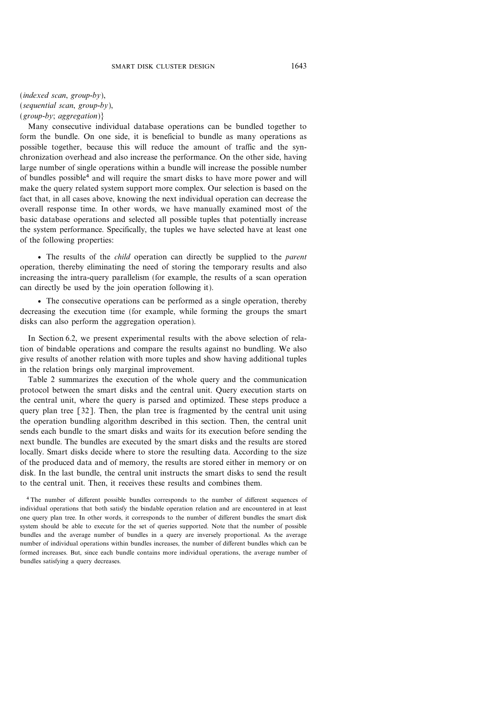Many consecutive individual database operations can be bundled together to form the bundle. On one side, it is beneficial to bundle as many operations as possible together, because this will reduce the amount of traffic and the synchronization overhead and also increase the performance. On the other side, having large number of single operations within a bundle will increase the possible number of bundles possible<sup>4</sup> and will require the smart disks to have more power and will make the query related system support more complex. Our selection is based on the fact that, in all cases above, knowing the next individual operation can decrease the overall response time. In other words, we have manually examined most of the basic database operations and selected all possible tuples that potentially increase the system performance. Specifically, the tuples we have selected have at least one of the following properties:

• The results of the *child* operation can directly be supplied to the *parent* operation, thereby eliminating the need of storing the temporary results and also increasing the intra-query parallelism (for example, the results of a scan operation can directly be used by the join operation following it).

v The consecutive operations can be performed as a single operation, thereby decreasing the execution time (for example, while forming the groups the smart disks can also perform the aggregation operation).

In Section 6.2, we present experimental results with the above selection of relation of bindable operations and compare the results against no bundling. We also give results of another relation with more tuples and show having additional tuples in the relation brings only marginal improvement.

Table 2 summarizes the execution of the whole query and the communication protocol between the smart disks and the central unit. Query execution starts on the central unit, where the query is parsed and optimized. These steps produce a query plan tree [32]. Then, the plan tree is fragmented by the central unit using the operation bundling algorithm described in this section. Then, the central unit sends each bundle to the smart disks and waits for its execution before sending the next bundle. The bundles are executed by the smart disks and the results are stored locally. Smart disks decide where to store the resulting data. According to the size of the produced data and of memory, the results are stored either in memory or on disk. In the last bundle, the central unit instructs the smart disks to send the result to the central unit. Then, it receives these results and combines them.

<sup>4</sup> The number of different possible bundles corresponds to the number of different sequences of individual operations that both satisfy the bindable operation relation and are encountered in at least one query plan tree. In other words, it corresponds to the number of different bundles the smart disk system should be able to execute for the set of queries supported. Note that the number of possible bundles and the average number of bundles in a query are inversely proportional. As the average number of individual operations within bundles increases, the number of different bundles which can be formed increases. But, since each bundle contains more individual operations, the average number of bundles satisfying a query decreases.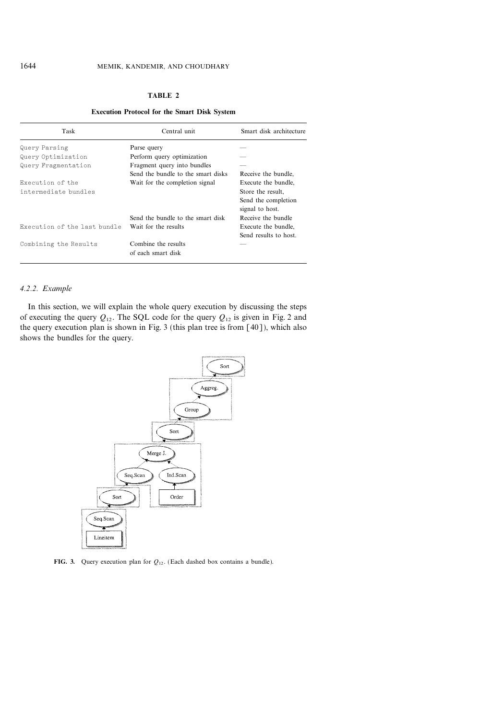### TABLE 2

| Task                         | Central unit                              | Smart disk architecture                                     |
|------------------------------|-------------------------------------------|-------------------------------------------------------------|
| Query Parsing                | Parse query                               |                                                             |
| Query Optimization           | Perform query optimization                |                                                             |
| Query Fragmentation          | Fragment query into bundles               |                                                             |
|                              | Send the bundle to the smart disks        | Receive the bundle,                                         |
| Execution of the             | Wait for the completion signal            | Execute the bundle,                                         |
| intermediate bundles         |                                           | Store the result,<br>Send the completion<br>signal to host. |
|                              | Send the bundle to the smart disk         | Receive the bundle                                          |
| Execution of the last bundle | Wait for the results                      | Execute the bundle,<br>Send results to host.                |
| Combining the Results        | Combine the results<br>of each smart disk |                                                             |

### Execution Protocol for the Smart Disk System

### 4.2.2. Example

In this section, we will explain the whole query execution by discussing the steps of executing the query  $Q_{12}$ . The SQL code for the query  $Q_{12}$  is given in Fig. 2 and the query execution plan is shown in Fig. 3 (this plan tree is from [40]), which also shows the bundles for the query.



FIG. 3. Query execution plan for  $Q_{12}$ . (Each dashed box contains a bundle).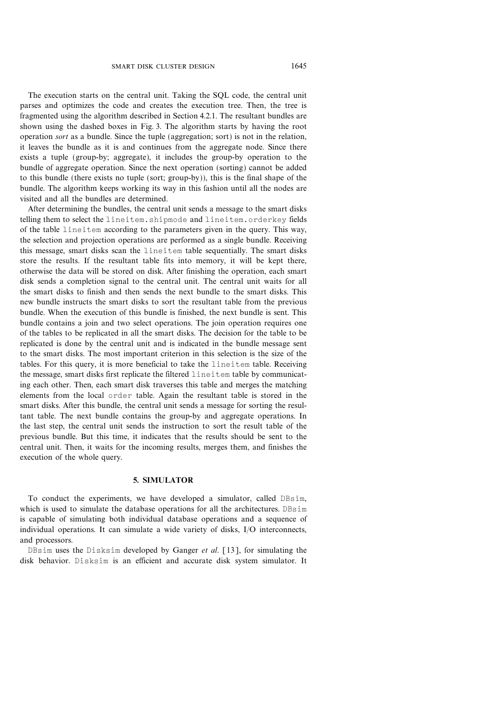The execution starts on the central unit. Taking the SQL code, the central unit parses and optimizes the code and creates the execution tree. Then, the tree is fragmented using the algorithm described in Section 4.2.1. The resultant bundles are shown using the dashed boxes in Fig. 3. The algorithm starts by having the root operation sort as a bundle. Since the tuple (aggregation; sort) is not in the relation, it leaves the bundle as it is and continues from the aggregate node. Since there exists a tuple (group-by; aggregate), it includes the group-by operation to the bundle of aggregate operation. Since the next operation (sorting) cannot be added to this bundle (there exists no tuple (sort; group-by)), this is the final shape of the bundle. The algorithm keeps working its way in this fashion until all the nodes are visited and all the bundles are determined.

After determining the bundles, the central unit sends a message to the smart disks telling them to select the lineitem.shipmode and lineitem.orderkey fields of the table lineitem according to the parameters given in the query. This way, the selection and projection operations are performed as a single bundle. Receiving this message, smart disks scan the lineitem table sequentially. The smart disks store the results. If the resultant table fits into memory, it will be kept there, otherwise the data will be stored on disk. After finishing the operation, each smart disk sends a completion signal to the central unit. The central unit waits for all the smart disks to finish and then sends the next bundle to the smart disks. This new bundle instructs the smart disks to sort the resultant table from the previous bundle. When the execution of this bundle is finished, the next bundle is sent. This bundle contains a join and two select operations. The join operation requires one of the tables to be replicated in all the smart disks. The decision for the table to be replicated is done by the central unit and is indicated in the bundle message sent to the smart disks. The most important criterion in this selection is the size of the tables. For this query, it is more beneficial to take the lineitem table. Receiving the message, smart disks first replicate the filtered lineitem table by communicating each other. Then, each smart disk traverses this table and merges the matching elements from the local order table. Again the resultant table is stored in the smart disks. After this bundle, the central unit sends a message for sorting the resultant table. The next bundle contains the group-by and aggregate operations. In the last step, the central unit sends the instruction to sort the result table of the previous bundle. But this time, it indicates that the results should be sent to the central unit. Then, it waits for the incoming results, merges them, and finishes the execution of the whole query.

### 5. SIMULATOR

To conduct the experiments, we have developed a simulator, called DBsim, which is used to simulate the database operations for all the architectures. DBsim is capable of simulating both individual database operations and a sequence of individual operations. It can simulate a wide variety of disks, IO interconnects, and processors.

DBsim uses the Disksim developed by Ganger et al. [13], for simulating the disk behavior. Disksim is an efficient and accurate disk system simulator. It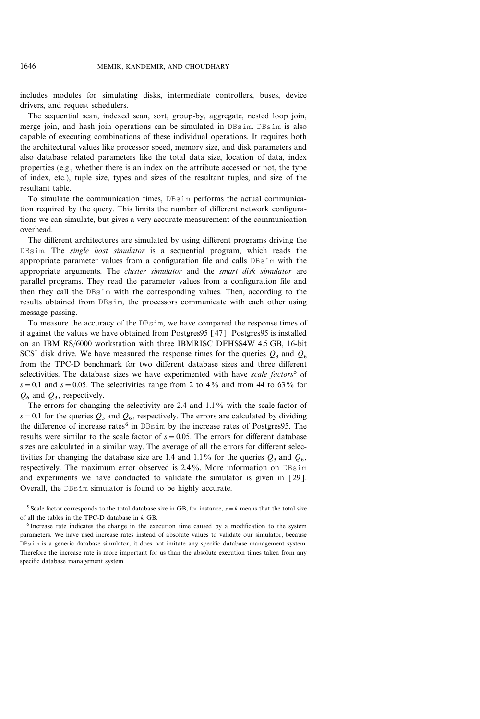includes modules for simulating disks, intermediate controllers, buses, device drivers, and request schedulers.

The sequential scan, indexed scan, sort, group-by, aggregate, nested loop join, merge join, and hash join operations can be simulated in DBsim. DBsim is also capable of executing combinations of these individual operations. It requires both the architectural values like processor speed, memory size, and disk parameters and also database related parameters like the total data size, location of data, index properties (e.g., whether there is an index on the attribute accessed or not, the type of index, etc.), tuple size, types and sizes of the resultant tuples, and size of the resultant table.

To simulate the communication times, DBsim performs the actual communication required by the query. This limits the number of different network configurations we can simulate, but gives a very accurate measurement of the communication overhead.

The different architectures are simulated by using different programs driving the DBsim. The *single host simulator* is a sequential program, which reads the appropriate parameter values from a configuration file and calls DBsim with the appropriate arguments. The *cluster simulator* and the *smart disk simulator* are parallel programs. They read the parameter values from a configuration file and then they call the DBsim with the corresponding values. Then, according to the results obtained from DBsim, the processors communicate with each other using message passing.

To measure the accuracy of the DBsim, we have compared the response times of it against the values we have obtained from Postgres95 [47]. Postgres95 is installed on an IBM RS/6000 workstation with three IBMRISC DFHSS4W 4.5 GB, 16-bit SCSI disk drive. We have measured the response times for the queries  $Q_3$  and  $Q_6$ from the TPC-D benchmark for two different database sizes and three different selectivities. The database sizes we have experimented with have *scale factors*<sup>5</sup> of  $s=0.1$  and  $s=0.05$ . The selectivities range from 2 to 4% and from 44 to 63% for  $Q_6$  and  $Q_3$ , respectively.

The errors for changing the selectivity are  $2.4$  and  $1.1\%$  with the scale factor of  $s=0.1$  for the queries  $Q_3$  and  $Q_6$ , respectively. The errors are calculated by dividing the difference of increase rates<sup>6</sup> in DBsim by the increase rates of Postgres95. The results were similar to the scale factor of  $s = 0.05$ . The errors for different database sizes are calculated in a similar way. The average of all the errors for different selectivities for changing the database size are 1.4 and 1.1% for the queries  $Q_3$  and  $Q_6$ , respectively. The maximum error observed is  $2.4\%$ . More information on DBsim and experiments we have conducted to validate the simulator is given in [29]. Overall, the DBsim simulator is found to be highly accurate.

<sup>&</sup>lt;sup>5</sup> Scale factor corresponds to the total database size in GB; for instance,  $s = k$  means that the total size of all the tables in the TPC-D database in  $k$  GB.

<sup>6</sup> Increase rate indicates the change in the execution time caused by a modification to the system parameters. We have used increase rates instead of absolute values to validate our simulator, because DBsim is a generic database simulator, it does not imitate any specific database management system. Therefore the increase rate is more important for us than the absolute execution times taken from any specific database management system.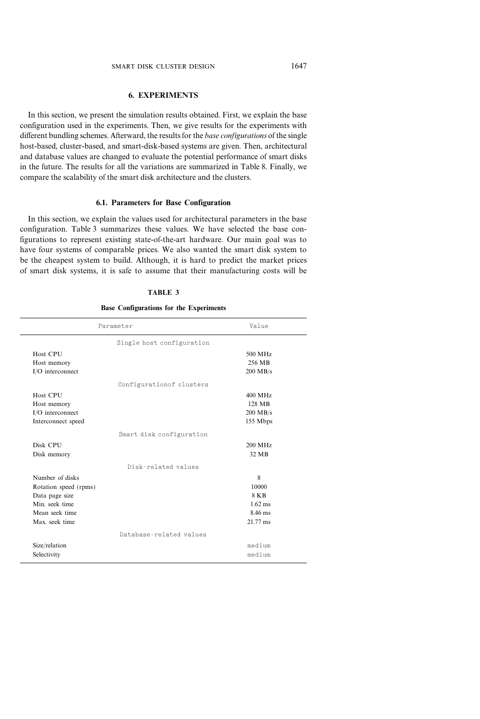### 6. EXPERIMENTS

In this section, we present the simulation results obtained. First, we explain the base configuration used in the experiments. Then, we give results for the experiments with different bundling schemes. Afterward, the results for the base configurations of the single host-based, cluster-based, and smart-disk-based systems are given. Then, architectural and database values are changed to evaluate the potential performance of smart disks in the future. The results for all the variations are summarized in Table 8. Finally, we compare the scalability of the smart disk architecture and the clusters.

#### 6.1. Parameters for Base Configuration

In this section, we explain the values used for architectural parameters in the base configuration. Table 3 summarizes these values. We have selected the base configurations to represent existing state-of-the-art hardware. Our main goal was to have four systems of comparable prices. We also wanted the smart disk system to be the cheapest system to build. Although, it is hard to predict the market prices of smart disk systems, it is safe to assume that their manufacturing costs will be

|                       | Parameter                 | Value              |
|-----------------------|---------------------------|--------------------|
|                       | Single host configuration |                    |
| Host CPU              |                           | 500 MHz            |
| Host memory           |                           | 256 MB             |
| I/O interconnect      |                           | $200 \text{ MB/s}$ |
|                       | Configurationof clusters  |                    |
| Host CPU              |                           | $400$ MHz          |
| Host memory           |                           | 128 MB             |
| I/O interconnect      |                           | $200$ MB/s         |
| Interconnect speed    |                           | 155 Mbps           |
|                       | Smart disk configuration  |                    |
| Disk CPU              |                           | 200 MHz            |
| Disk memory           |                           | 32 MB              |
|                       | Disk-related values       |                    |
| Number of disks       |                           | 8                  |
| Rotation speed (rpms) |                           | 10000              |
| Data page size        |                           | 8 KB               |
| Min. seek time        |                           | $1.62 \text{ ms}$  |
| Mean seek time        |                           | 8.46 ms            |
| Max. seek time        |                           | 21.77 ms           |
|                       | Database-related values   |                    |
| Size/relation         |                           | medium             |
| Selectivity           |                           | medium             |

## TABLE 3 Base Configurations for the Experiments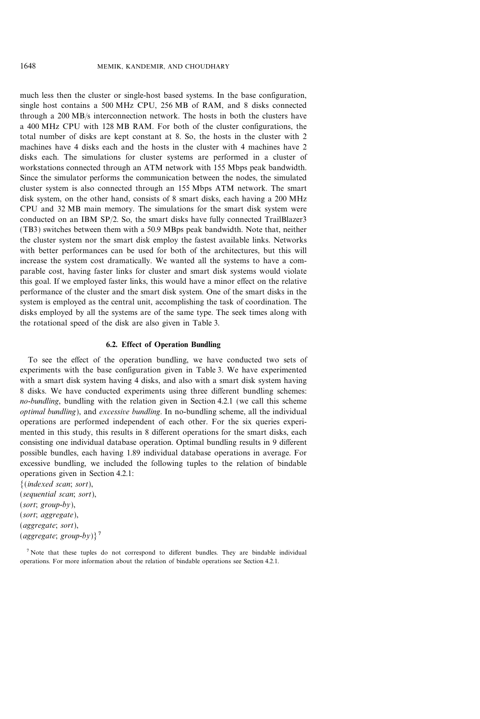much less then the cluster or single-host based systems. In the base configuration, single host contains a 500 MHz CPU, 256 MB of RAM, and 8 disks connected through a 200 MB/s interconnection network. The hosts in both the clusters have a 400 MHz CPU with 128 MB RAM. For both of the cluster configurations, the total number of disks are kept constant at 8. So, the hosts in the cluster with 2 machines have 4 disks each and the hosts in the cluster with 4 machines have 2 disks each. The simulations for cluster systems are performed in a cluster of workstations connected through an ATM network with 155 Mbps peak bandwidth. Since the simulator performs the communication between the nodes, the simulated cluster system is also connected through an 155 Mbps ATM network. The smart disk system, on the other hand, consists of 8 smart disks, each having a 200 MHz CPU and 32 MB main memory. The simulations for the smart disk system were conducted on an IBM  $SP/2$ . So, the smart disks have fully connected TrailBlazer3 (TB3) switches between them with a 50.9 MBps peak bandwidth. Note that, neither the cluster system nor the smart disk employ the fastest available links. Networks with better performances can be used for both of the architectures, but this will increase the system cost dramatically. We wanted all the systems to have a comparable cost, having faster links for cluster and smart disk systems would violate this goal. If we employed faster links, this would have a minor effect on the relative performance of the cluster and the smart disk system. One of the smart disks in the system is employed as the central unit, accomplishing the task of coordination. The disks employed by all the systems are of the same type. The seek times along with the rotational speed of the disk are also given in Table 3.

### 6.2. Effect of Operation Bundling

To see the effect of the operation bundling, we have conducted two sets of experiments with the base configuration given in Table 3. We have experimented with a smart disk system having 4 disks, and also with a smart disk system having 8 disks. We have conducted experiments using three different bundling schemes: no-bundling, bundling with the relation given in Section 4.2.1 (we call this scheme optimal bundling), and excessive bundling. In no-bundling scheme, all the individual operations are performed independent of each other. For the six queries experimented in this study, this results in 8 different operations for the smart disks, each consisting one individual database operation. Optimal bundling results in 9 different possible bundles, each having 1.89 individual database operations in average. For excessive bundling, we included the following tuples to the relation of bindable operations given in Section 4.2.1:

 $\{(indexed scan; sort),\}$ (sequential scan; sort),  $(sort; group-by),$ (sort; aggregate), (aggregate; sort), (aggregate; group-by) $\}^7$ 

<sup>7</sup> Note that these tuples do not correspond to different bundles. They are bindable individual operations. For more information about the relation of bindable operations see Section 4.2.1.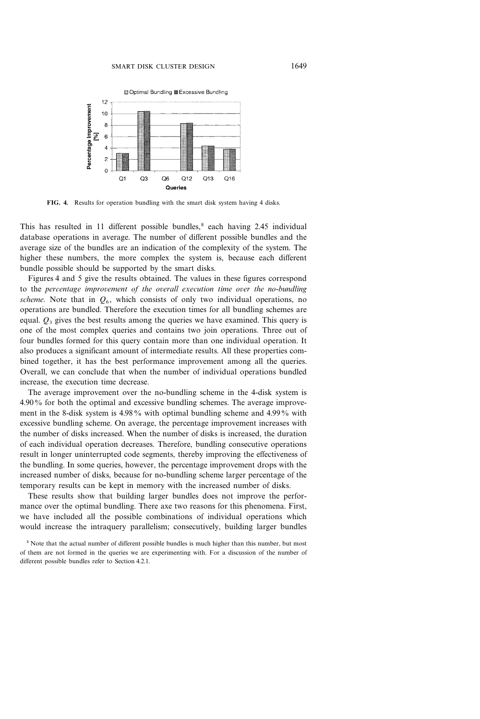

FIG. 4. Results for operation bundling with the smart disk system having 4 disks.

This has resulted in 11 different possible bundles, $8$  each having 2.45 individual database operations in average. The number of different possible bundles and the average size of the bundles are an indication of the complexity of the system. The higher these numbers, the more complex the system is, because each different bundle possible should be supported by the smart disks.

Figures 4 and 5 give the results obtained. The values in these figures correspond to the percentage improvement of the overall execution time over the no-bundling scheme. Note that in  $Q_6$ , which consists of only two individual operations, no operations are bundled. Therefore the execution times for all bundling schemes are equal.  $Q_3$  gives the best results among the queries we have examined. This query is one of the most complex queries and contains two join operations. Three out of four bundles formed for this query contain more than one individual operation. It also produces a significant amount of intermediate results. All these properties combined together, it has the best performance improvement among all the queries. Overall, we can conclude that when the number of individual operations bundled increase, the execution time decrease.

The average improvement over the no-bundling scheme in the 4-disk system is 4.90% for both the optimal and excessive bundling schemes. The average improvement in the 8-disk system is  $4.98\%$  with optimal bundling scheme and  $4.99\%$  with excessive bundling scheme. On average, the percentage improvement increases with the number of disks increased. When the number of disks is increased, the duration of each individual operation decreases. Therefore, bundling consecutive operations result in longer uninterrupted code segments, thereby improving the effectiveness of the bundling. In some queries, however, the percentage improvement drops with the increased number of disks, because for no-bundling scheme larger percentage of the temporary results can be kept in memory with the increased number of disks.

These results show that building larger bundles does not improve the performance over the optimal bundling. There axe two reasons for this phenomena. First, we have included all the possible combinations of individual operations which would increase the intraquery parallelism; consecutively, building larger bundles

<sup>&</sup>lt;sup>8</sup> Note that the actual number of different possible bundles is much higher than this number, but most of them are not formed in the queries we are experimenting with. For a discussion of the number of different possible bundles refer to Section 4.2.1.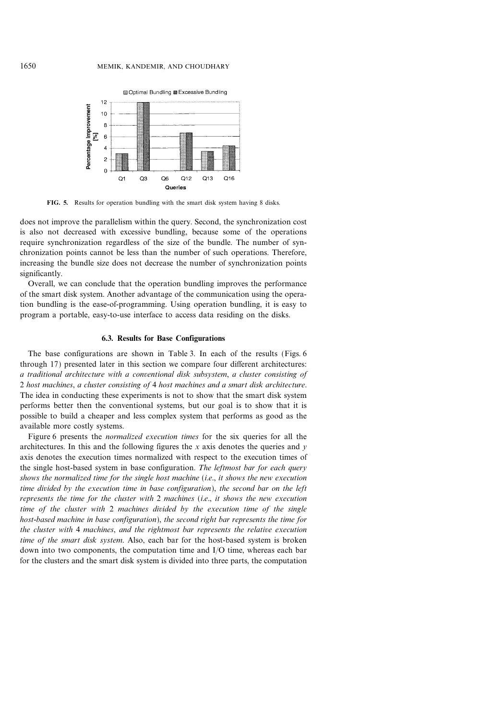

FIG. 5. Results for operation bundling with the smart disk system having 8 disks.

does not improve the parallelism within the query. Second, the synchronization cost is also not decreased with excessive bundling, because some of the operations require synchronization regardless of the size of the bundle. The number of synchronization points cannot be less than the number of such operations. Therefore, increasing the bundle size does not decrease the number of synchronization points significantly.

Overall, we can conclude that the operation bundling improves the performance of the smart disk system. Another advantage of the communication using the operation bundling is the ease-of-programming. Using operation bundling, it is easy to program a portable, easy-to-use interface to access data residing on the disks.

### 6.3. Results for Base Configurations

The base configurations are shown in Table 3. In each of the results (Figs. 6 through 17) presented later in this section we compare four different architectures: a traditional architecture with a conventional disk subsystem, a cluster consisting of 2 host machines, a cluster consisting of 4 host machines and a smart disk architecture. The idea in conducting these experiments is not to show that the smart disk system performs better then the conventional systems, but our goal is to show that it is possible to build a cheaper and less complex system that performs as good as the available more costly systems.

Figure 6 presents the normalized execution times for the six queries for all the architectures. In this and the following figures the x axis denotes the queries and  $y$ axis denotes the execution times normalized with respect to the execution times of the single host-based system in base configuration. The leftmost bar for each query shows the normalized time for the single host machine (i.e., it shows the new execution time divided by the execution time in base configuration), the second bar on the left represents the time for the cluster with 2 machines (i.e., it shows the new execution time of the cluster with 2 machines divided by the execution time of the single host-based machine in base configuration), the second right bar represents the time for the cluster with 4 machines, and the rightmost bar represents the relative execution time of the smart disk system. Also, each bar for the host-based system is broken down into two components, the computation time and  $I/O$  time, whereas each bar for the clusters and the smart disk system is divided into three parts, the computation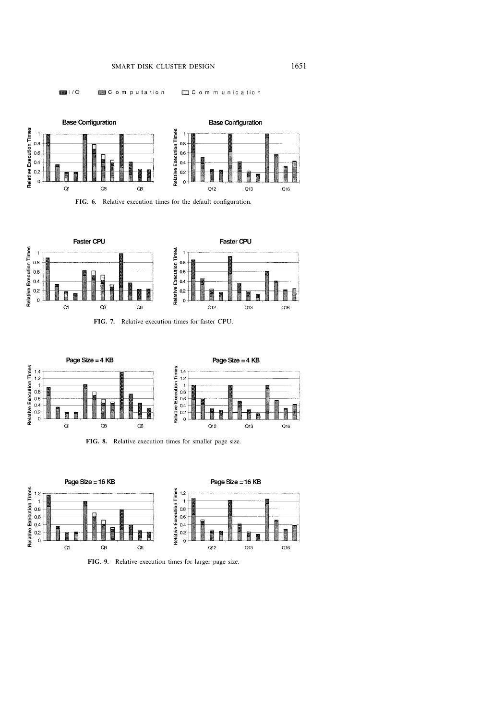

FIG. 6. Relative execution times for the default configuration.



FIG. 7. Relative execution times for faster CPU.



FIG. 8. Relative execution times for smaller page size.



FIG. 9. Relative execution times for larger page size.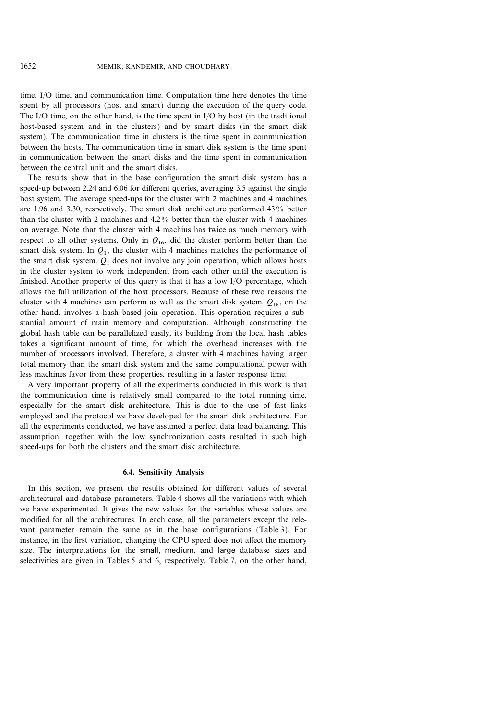time, IO time, and communication time. Computation time here denotes the time spent by all processors (host and smart) during the execution of the query code. The I/O time, on the other hand, is the time spent in I/O by host (in the traditional host-based system and in the clusters) and by smart disks (in the smart disk system). The communication time in clusters is the time spent in communication between the hosts. The communication time in smart disk system is the time spent in communication between the smart disks and the time spent in communication between the central unit and the smart disks.

The results show that in the base configuration the smart disk system has a speed-up between 2.24 and 6.06 for different queries, averaging 3.5 against the single host system. The average speed-ups for the cluster with 2 machines and 4 machines are  $1.96$  and  $3.30$ , respectively. The smart disk architecture performed  $43\%$  better than the cluster with 2 machines and  $4.2\%$  better than the cluster with 4 machines on average. Note that the cluster with 4 machius has twice as much memory with respect to all other systems. Only in  $Q_{16}$ , did the cluster perform better than the smart disk system. In  $Q_1$ , the cluster with 4 machines matches the performance of the smart disk system.  $Q_1$  does not involve any join operation, which allows hosts in the cluster system to work independent from each other until the execution is finished. Another property of this query is that it has a low  $I/O$  percentage, which allows the full utilization of the host processors. Because of these two reasons the cluster with 4 machines can perform as well as the smart disk system.  $Q_{16}$ , on the other hand, involves a hash based join operation. This operation requires a substantial amount of main memory and computation. Although constructing the global hash table can be parallelized easily, its building from the local hash tables takes a significant amount of time, for which the overhead increases with the number of processors involved. Therefore, a cluster with 4 machines having larger total memory than the smart disk system and the same computational power with less machines favor from these properties, resulting in a faster response time.

A very important property of all the experiments conducted in this work is that the communication time is relatively small compared to the total running time, especially for the smart disk architecture. This is due to the use of fast links employed and the protocol we have developed for the smart disk architecture. For all the experiments conducted, we have assumed a perfect data load balancing. This assumption, together with the low synchronization costs resulted in such high speed-ups for both the clusters and the smart disk architecture.

### 6.4. Sensitivity Analysis

In this section, we present the results obtained for different values of several architectural and database parameters. Table 4 shows all the variations with which we have experimented. It gives the new values for the variables whose values are modified for all the architectures. In each case, all the parameters except the relevant parameter remain the same as in the base configurations (Table 3). For instance, in the first variation, changing the CPU speed does not affect the memory size. The interpretations for the small, medium, and large database sizes and selectivities are given in Tables 5 and 6, respectively. Table 7, on the other hand,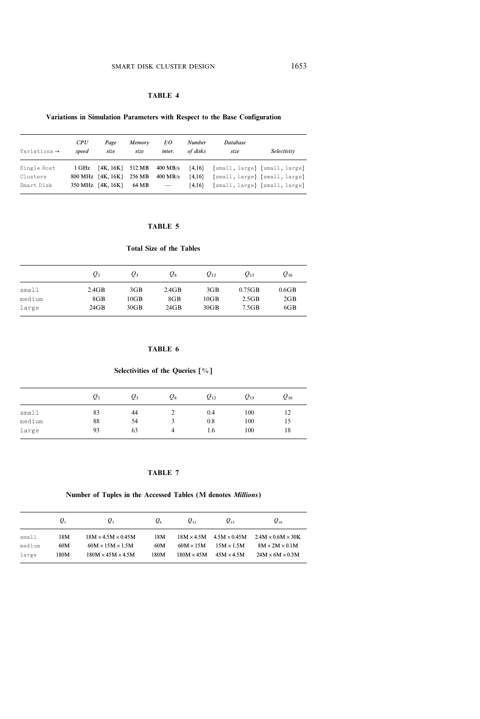### TABLE 4

### Variations in Simulation Parameters with Respect to the Base Configuration

| Variations $\rightarrow$ | CPU<br>speed | Page<br>size                                | Memory<br>size | I/O<br>inter.            | <b>Number</b><br>of disks | Database<br>size | Selectivity                                                                |
|--------------------------|--------------|---------------------------------------------|----------------|--------------------------|---------------------------|------------------|----------------------------------------------------------------------------|
| Single Host<br>Clusters  | 1 GHz        | ${4K, 16K}$ 512 MB<br>800 MHz $\{4K, 16K\}$ | 256 MB         | $400$ MB/s<br>$400$ MB/s | ${4,16}$<br>${4,16}$      |                  | $\{small, large\}$ $\{small, large\}$<br>${small, large}$ ${small, large}$ |
| Smart Disk               |              | 350 MHz {4K, 16K}                           | 64 MB          | $\overline{\phantom{m}}$ | ${4,16}$                  |                  | $\{small, large\}$ $\{small, large\}$                                      |

### TABLE 5

### Total Size of the Tables

|        | $\mathcal{Q}_1$ | $Q_3$ | Q6      | $Q_{12}$ | $Q_{13}$  | $Q_{16}$ |
|--------|-----------------|-------|---------|----------|-----------|----------|
| small  | 2.4GB           | 3GB   | 2.4GB   | 3GB      | $0.75$ GB | 0.6GB    |
| medium | 8GB             | 10GB  | 8GB     | 10GB     | 2.5GB     | 2GB      |
| large  | 24GB            | 30GB  | $24$ GB | 30GB     | 7.5GB     | 6GB      |

### TABLE 6

### Selectivities of the Queries [%]

|        | $\varrho_{\scriptscriptstyle 1}$ | $\mathcal{Q}_3$ | $\mathcal{Q}_6$ | $Q_{12}$ | $Q_{13}$ | $Q_{16}$ |
|--------|----------------------------------|-----------------|-----------------|----------|----------|----------|
| small  | 83                               | 44              | ∠               | 0.4      | 100      | 12       |
| medium | 88                               | 54              |                 | 0.8      | 100      | 15       |
| large  | 93                               | 63              | 4               | 1.6      | 100      | 18       |

### TABLE 7

### Number of Tuples in the Accessed Tables (M denotes Millions)

|        | $Q_{1}$ | $Q_3$                          | $Q_{6}$ | $O_{12}$          | $Q_{13}$            | $Q_{16}$                      |
|--------|---------|--------------------------------|---------|-------------------|---------------------|-------------------------------|
| small  | 18M     | $18M \times 4.5M \times 0.45M$ | 18M     | $18M \times 4.5M$ | $4.5M \times 0.45M$ | $2.4M \times 0.6M \times 30K$ |
| medium | 60M     | $60M \times 15M \times 1.5M$   | 60M     | $60M \times 15M$  | $15M \times 1.5M$   | $8M \times 2M \times 0.1M$    |
| large  | 180M    | $180M \times 45M \times 4.5M$  | 180M    | $180M \times 45M$ | $45M \times 4.5M$   | $24M \times 6M \times 0.3M$   |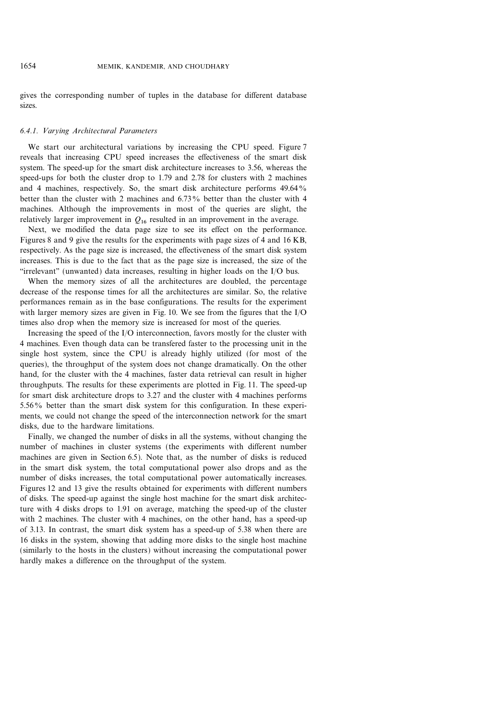gives the corresponding number of tuples in the database for different database sizes.

### 6.4.1. Varying Architectural Parameters

We start our architectural variations by increasing the CPU speed. Figure 7 reveals that increasing CPU speed increases the effectiveness of the smart disk system. The speed-up for the smart disk architecture increases to 3.56, whereas the speed-ups for both the cluster drop to 1.79 and 2.78 for clusters with 2 machines and 4 machines, respectively. So, the smart disk architecture performs  $49.64\%$ better than the cluster with 2 machines and  $6.73\%$  better than the cluster with 4 machines. Although the improvements in most of the queries are slight, the relatively larger improvement in  $Q_{16}$  resulted in an improvement in the average.

Next, we modified the data page size to see its effect on the performance. Figures 8 and 9 give the results for the experiments with page sizes of 4 and 16 KB, respectively. As the page size is increased, the effectiveness of the smart disk system increases. This is due to the fact that as the page size is increased, the size of the "irrelevant" (unwanted) data increases, resulting in higher loads on the I/O bus.

When the memory sizes of all the architectures are doubled, the percentage decrease of the response times for all the architectures are similar. So, the relative performances remain as in the base configurations. The results for the experiment with larger memory sizes are given in Fig. 10. We see from the figures that the  $I/O$ times also drop when the memory size is increased for most of the queries.

Increasing the speed of the I/O interconnection, favors mostly for the cluster with 4 machines. Even though data can be transfered faster to the processing unit in the single host system, since the CPU is already highly utilized (for most of the queries), the throughput of the system does not change dramatically. On the other hand, for the cluster with the 4 machines, faster data retrieval can result in higher throughputs. The results for these experiments are plotted in Fig. 11. The speed-up for smart disk architecture drops to 3.27 and the cluster with 4 machines performs 5.560 better than the smart disk system for this configuration. In these experiments, we could not change the speed of the interconnection network for the smart disks, due to the hardware limitations.

Finally, we changed the number of disks in all the systems, without changing the number of machines in cluster systems (the experiments with different number machines are given in Section 6.5). Note that, as the number of disks is reduced in the smart disk system, the total computational power also drops and as the number of disks increases, the total computational power automatically increases. Figures 12 and 13 give the results obtained for experiments with different numbers of disks. The speed-up against the single host machine for the smart disk architecture with 4 disks drops to 1.91 on average, matching the speed-up of the cluster with 2 machines. The cluster with 4 machines, on the other hand, has a speed-up of 3.13. In contrast, the smart disk system has a speed-up of 5.38 when there are 16 disks in the system, showing that adding more disks to the single host machine (similarly to the hosts in the clusters) without increasing the computational power hardly makes a difference on the throughput of the system.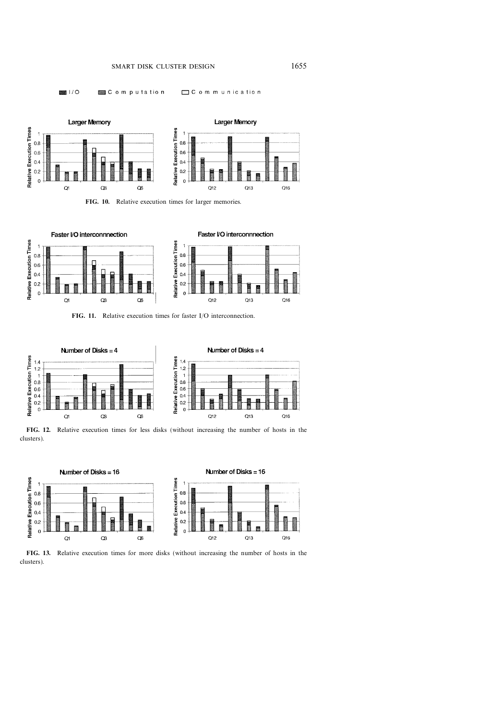```
图 1/0
         BBC om putation
```




FIG. 10. Relative execution times for larger memories.



FIG. 11. Relative execution times for faster I/O interconnection.



FIG. 12. Relative execution times for less disks (without increasing the number of hosts in the clusters).



FIG. 13. Relative execution times for more disks (without increasing the number of hosts in the clusters).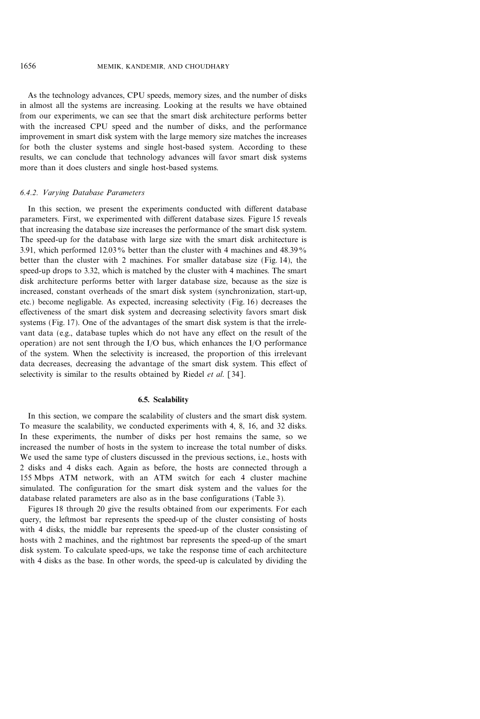As the technology advances, CPU speeds, memory sizes, and the number of disks in almost all the systems are increasing. Looking at the results we have obtained from our experiments, we can see that the smart disk architecture performs better with the increased CPU speed and the number of disks, and the performance improvement in smart disk system with the large memory size matches the increases for both the cluster systems and single host-based system. According to these results, we can conclude that technology advances will favor smart disk systems more than it does clusters and single host-based systems.

#### 6.4.2. Varying Database Parameters

In this section, we present the experiments conducted with different database parameters. First, we experimented with different database sizes. Figure 15 reveals that increasing the database size increases the performance of the smart disk system. The speed-up for the database with large size with the smart disk architecture is 3.91, which performed 12.03% better than the cluster with 4 machines and 48.39% better than the cluster with 2 machines. For smaller database size (Fig. 14), the speed-up drops to 3.32, which is matched by the cluster with 4 machines. The smart disk architecture performs better with larger database size, because as the size is increased, constant overheads of the smart disk system (synchronization, start-up, etc.) become negligable. As expected, increasing selectivity (Fig. 16) decreases the effectiveness of the smart disk system and decreasing selectivity favors smart disk systems (Fig. 17). One of the advantages of the smart disk system is that the irrelevant data (e.g., database tuples which do not have any effect on the result of the operation) are not sent through the  $I/O$  bus, which enhances the  $I/O$  performance of the system. When the selectivity is increased, the proportion of this irrelevant data decreases, decreasing the advantage of the smart disk system. This effect of selectivity is similar to the results obtained by Riedel *et al.* [34].

### 6.5. Scalability

In this section, we compare the scalability of clusters and the smart disk system. To measure the scalability, we conducted experiments with 4, 8, 16, and 32 disks. In these experiments, the number of disks per host remains the same, so we increased the number of hosts in the system to increase the total number of disks. We used the same type of clusters discussed in the previous sections, i.e., hosts with 2 disks and 4 disks each. Again as before, the hosts are connected through a 155 Mbps ATM network, with an ATM switch for each 4 cluster machine simulated. The configuration for the smart disk system and the values for the database related parameters are also as in the base configurations (Table 3).

Figures 18 through 20 give the results obtained from our experiments. For each query, the leftmost bar represents the speed-up of the cluster consisting of hosts with 4 disks, the middle bar represents the speed-up of the cluster consisting of hosts with 2 machines, and the rightmost bar represents the speed-up of the smart disk system. To calculate speed-ups, we take the response time of each architecture with 4 disks as the base. In other words, the speed-up is calculated by dividing the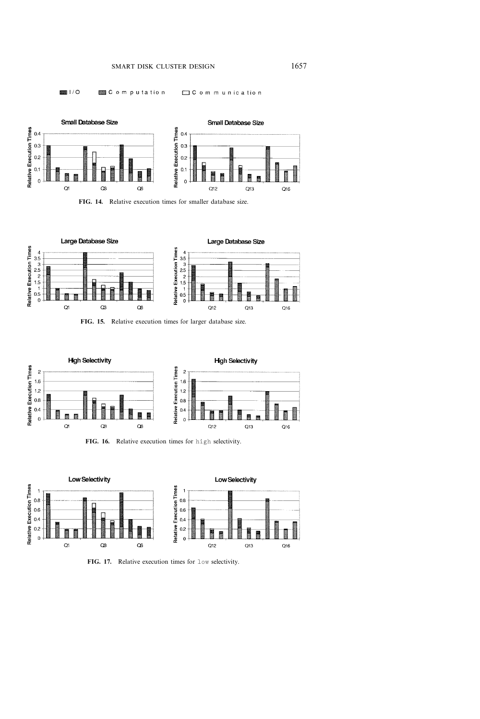

FIG. 14. Relative execution times for smaller database size.



FIG. 15. Relative execution times for larger database size.







FIG. 17. Relative execution times for low selectivity.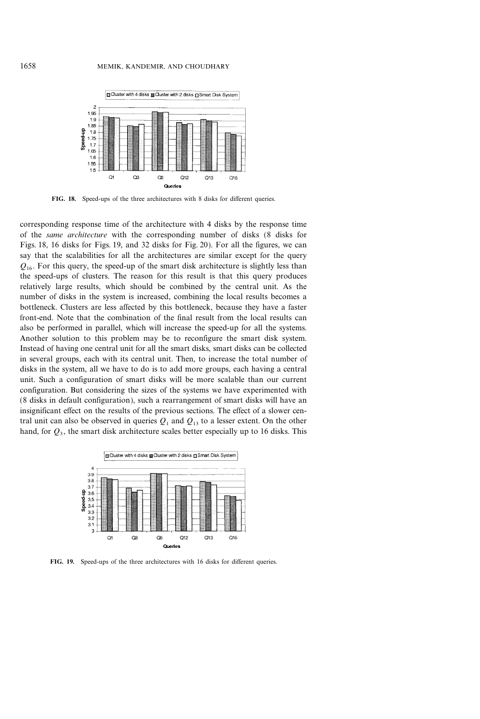

FIG. 18. Speed-ups of the three architectures with 8 disks for different queries.

corresponding response time of the architecture with 4 disks by the response time of the same architecture with the corresponding number of disks (8 disks for Figs. 18, 16 disks for Figs. 19, and 32 disks for Fig. 20). For all the figures, we can say that the scalabilities for all the architectures are similar except for the query  $Q_{16}$ . For this query, the speed-up of the smart disk architecture is slightly less than the speed-ups of clusters. The reason for this result is that this query produces relatively large results, which should be combined by the central unit. As the number of disks in the system is increased, combining the local results becomes a bottleneck. Clusters are less affected by this bottleneck, because they have a faster front-end. Note that the combination of the final result from the local results can also be performed in parallel, which will increase the speed-up for all the systems. Another solution to this problem may be to reconfigure the smart disk system. Instead of having one central unit for all the smart disks, smart disks can be collected in several groups, each with its central unit. Then, to increase the total number of disks in the system, all we have to do is to add more groups, each having a central unit. Such a configuration of smart disks will be more scalable than our current configuration. But considering the sizes of the systems we have experimented with (8 disks in default configuration), such a rearrangement of smart disks will have an insignificant effect on the results of the previous sections. The effect of a slower central unit can also be observed in queries  $Q_1$  and  $Q_{13}$  to a lesser extent. On the other hand, for  $Q_3$ , the smart disk architecture scales better especially up to 16 disks. This



FIG. 19. Speed-ups of the three architectures with 16 disks for different queries.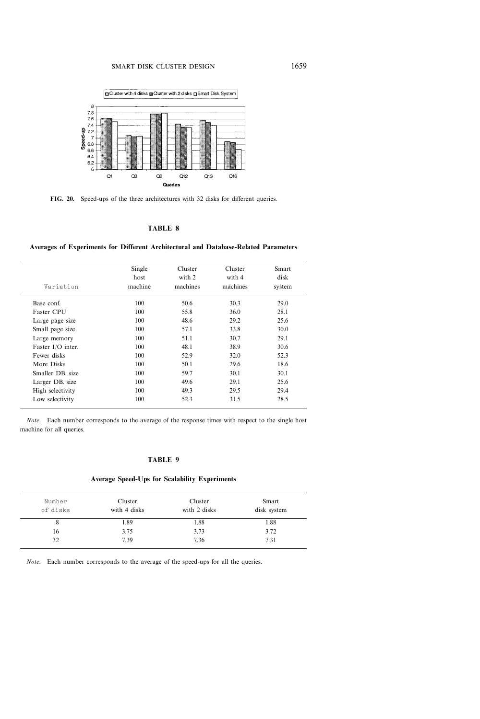

FIG. 20. Speed-ups of the three architectures with 32 disks for different queries.

### TABLE 8

#### Averages of Experiments for Different Architectural and Database-Related Parameters

| Variation         | Single<br>host<br>machine | Cluster<br>with 2<br>machines | Cluster<br>with 4<br>machines | Smart<br>disk<br>system |
|-------------------|---------------------------|-------------------------------|-------------------------------|-------------------------|
| Base conf.        | 100                       | 50.6                          | 30.3                          | 29.0                    |
| Faster CPU        | 100                       | 55.8                          | 36.0                          | 28.1                    |
| Large page size   | 100                       | 48.6                          | 29.2                          | 25.6                    |
| Small page size   | 100                       | 57.1                          | 33.8                          | 30.0                    |
| Large memory      | 100                       | 51.1                          | 30.7                          | 29.1                    |
| Faster I/O inter. | 100                       | 48.1                          | 38.9                          | 30.6                    |
| Fewer disks       | 100                       | 52.9                          | 32.0                          | 52.3                    |
| More Disks        | 100                       | 50.1                          | 29.6                          | 18.6                    |
| Smaller DB, size  | 100                       | 59.7                          | 30.1                          | 30.1                    |
| Larger DB. size   | 100                       | 49.6                          | 29.1                          | 25.6                    |
| High selectivity  | 100                       | 49.3                          | 29.5                          | 29.4                    |
| Low selectivity   | 100                       | 52.3                          | 31.5                          | 28.5                    |

Note. Each number corresponds to the average of the response times with respect to the single host machine for all queries.

### TABLE 9

# Number Cluster Cluster Cluster Smart of disks with 4 disks with 2 disks disk system 8 1.89 1.88 1.88 16 3.75 3.73 3.72 32 7.39 7.36 7.31

### Average Speed-Ups for Scalability Experiments

Note. Each number corresponds to the average of the speed-ups for all the queries.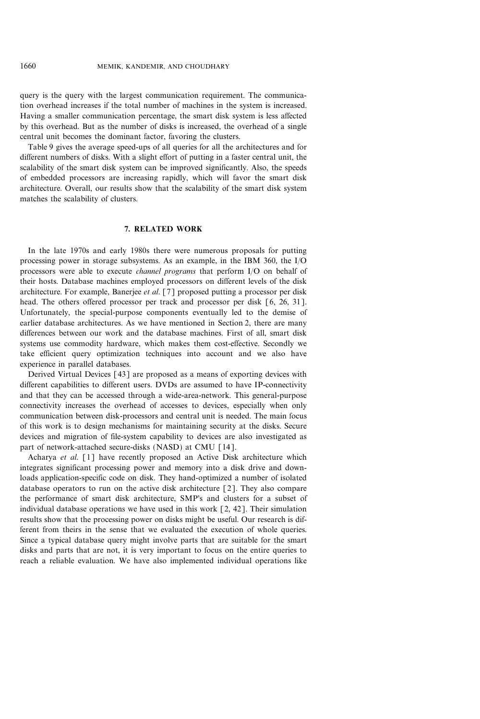query is the query with the largest communication requirement. The communication overhead increases if the total number of machines in the system is increased. Having a smaller communication percentage, the smart disk system is less affected by this overhead. But as the number of disks is increased, the overhead of a single central unit becomes the dominant factor, favoring the clusters.

Table 9 gives the average speed-ups of all queries for all the architectures and for different numbers of disks. With a slight effort of putting in a faster central unit, the scalability of the smart disk system can be improved significantly. Also, the speeds of embedded processors are increasing rapidly, which will favor the smart disk architecture. Overall, our results show that the scalability of the smart disk system matches the scalability of clusters.

### 7. RELATED WORK

In the late 1970s and early 1980s there were numerous proposals for putting processing power in storage subsystems. As an example, in the IBM 360, the IO processors were able to execute *channel programs* that perform I/O on behalf of their hosts. Database machines employed processors on different levels of the disk architecture. For example, Banerjee *et al.* [7] proposed putting a processor per disk head. The others offered processor per track and processor per disk [6, 26, 31]. Unfortunately, the special-purpose components eventually led to the demise of earlier database architectures. As we have mentioned in Section 2, there are many differences between our work and the database machines. First of all, smart disk systems use commodity hardware, which makes them cost-effective. Secondly we take efficient query optimization techniques into account and we also have experience in parallel databases.

Derived Virtual Devices [43] are proposed as a means of exporting devices with different capabilities to different users. DVDs are assumed to have IP-connectivity and that they can be accessed through a wide-area-network. This general-purpose connectivity increases the overhead of accesses to devices, especially when only communication between disk-processors and central unit is needed. The main focus of this work is to design mechanisms for maintaining security at the disks. Secure devices and migration of file-system capability to devices are also investigated as part of network-attached secure-disks (NASD) at CMU [14].

Acharya et al. [1] have recently proposed an Active Disk architecture which integrates significant processing power and memory into a disk drive and downloads application-specific code on disk. They hand-optimized a number of isolated database operators to run on the active disk architecture [2]. They also compare the performance of smart disk architecture, SMP's and clusters for a subset of individual database operations we have used in this work [2, 42]. Their simulation results show that the processing power on disks might be useful. Our research is different from theirs in the sense that we evaluated the execution of whole queries. Since a typical database query might involve parts that are suitable for the smart disks and parts that are not, it is very important to focus on the entire queries to reach a reliable evaluation. We have also implemented individual operations like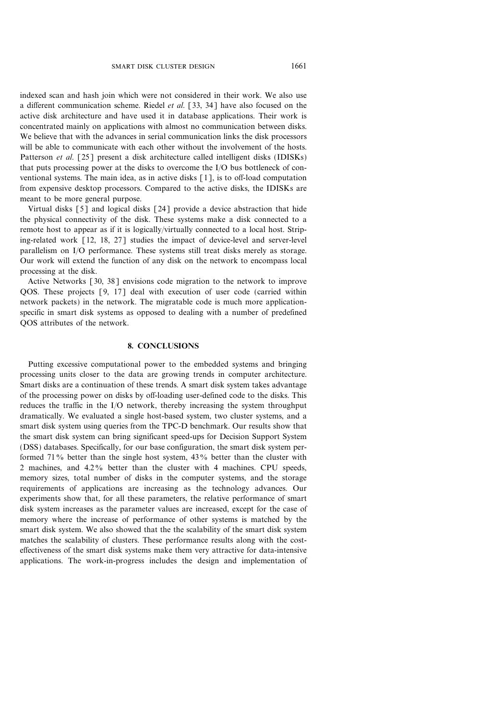indexed scan and hash join which were not considered in their work. We also use a different communication scheme. Riedel *et al.* [33, 34] have also focused on the active disk architecture and have used it in database applications. Their work is concentrated mainly on applications with almost no communication between disks. We believe that with the advances in serial communication links the disk processors will be able to communicate with each other without the involvement of the hosts. Patterson et al. [25] present a disk architecture called intelligent disks (IDISKs) that puts processing power at the disks to overcome the I/O bus bottleneck of conventional systems. The main idea, as in active disks [1], is to off-load computation from expensive desktop processors. Compared to the active disks, the IDISKs are meant to be more general purpose.

Virtual disks [5] and logical disks [24] provide a device abstraction that hide the physical connectivity of the disk. These systems make a disk connected to a remote host to appear as if it is logically/virtually connected to a local host. Striping-related work [12, 18, 27] studies the impact of device-level and server-level parallelism on I/O performance. These systems still treat disks merely as storage. Our work will extend the function of any disk on the network to encompass local processing at the disk.

Active Networks [30, 38] envisions code migration to the network to improve QOS. These projects [9, 17] deal with execution of user code (carried within network packets) in the network. The migratable code is much more applicationspecific in smart disk systems as opposed to dealing with a number of predefined QOS attributes of the network.

### 8. CONCLUSIONS

Putting excessive computational power to the embedded systems and bringing processing units closer to the data are growing trends in computer architecture. Smart disks are a continuation of these trends. A smart disk system takes advantage of the processing power on disks by off-loading user-defined code to the disks. This reduces the traffic in the I/O network, thereby increasing the system throughput dramatically. We evaluated a single host-based system, two cluster systems, and a smart disk system using queries from the TPC-D benchmark. Our results show that the smart disk system can bring significant speed-ups for Decision Support System (DSS) databases. Specifically, for our base configuration, the smart disk system performed 71% better than the single host system,  $43\%$  better than the cluster with 2 machines, and 4.2% better than the cluster with 4 machines. CPU speeds, memory sizes, total number of disks in the computer systems, and the storage requirements of applications are increasing as the technology advances. Our experiments show that, for all these parameters, the relative performance of smart disk system increases as the parameter values are increased, except for the case of memory where the increase of performance of other systems is matched by the smart disk system. We also showed that the the scalability of the smart disk system matches the scalability of clusters. These performance results along with the costeffectiveness of the smart disk systems make them very attractive for data-intensive applications. The work-in-progress includes the design and implementation of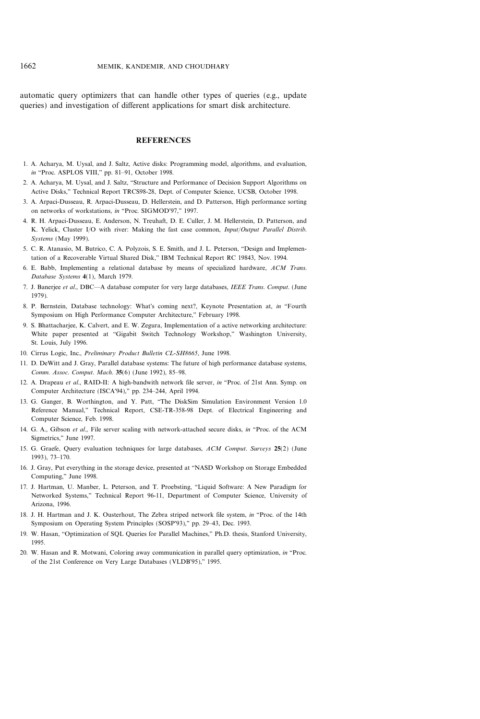automatic query optimizers that can handle other types of queries (e.g., update queries) and investigation of different applications for smart disk architecture.

### REFERENCES

- 1. A. Acharya, M. Uysal, and J. Saltz, Active disks: Programming model, algorithms, and evaluation, in "Proc. ASPLOS VIII," pp. 81-91, October 1998.
- 2. A. Acharya, M. Uysal, and J. Saltz, "Structure and Performance of Decision Support Algorithms on Active Disks,'' Technical Report TRCS98-28, Dept. of Computer Science, UCSB, October 1998.
- 3. A. Arpaci-Dusseau, R. Arpaci-Dusseau, D. Hellerstein, and D. Patterson, High performance sorting on networks of workstations, in "Proc. SIGMOD'97," 1997.
- 4. R. H. Arpaci-Dusseau, E. Anderson, N. Treuhaft, D. E. Culler, J. M. Hellerstein, D. Patterson, and K. Yelick, Cluster I/O with river: Making the fast case common, Input/Output Parallel Distrib. Systems (May 1999).
- 5. C. R. Atanasio, M. Butrico, C. A. Polyzois, S. E. Smith, and J. L. Peterson, "Design and Implementation of a Recoverable Virtual Shared Disk,'' IBM Technical Report RC 19843, Nov. 1994.
- 6. E. Babb, Implementing a relational database by means of specialized hardware, ACM Trans. Database Systems 4(1), March 1979.
- 7. J. Banerjee et al., DBC-A database computer for very large databases, IEEE Trans. Comput. (June 1979).
- 8. P. Bernstein, Database technology: What's coming next?, Keynote Presentation at, in "Fourth Symposium on High Performance Computer Architecture," February 1998.
- 9. S. Bhattacharjee, K. Calvert, and E. W. Zegura, Implementation of a active networking architecture: White paper presented at "Gigabit Switch Technology Workshop," Washington University, St. Louis, July 1996.
- 10. Cirrus Logic, Inc., Preliminary Product Bulletin CL-SH8665, June 1998.
- 11. D. DeWitt and J. Gray, Parallel database systems: The future of high performance database systems, Comm. Assoc. Comput. Mach. 35(6) (June 1992), 85-98.
- 12. A. Drapeau et al., RAID-II: A high-bandwith network file server, in "Proc. of 21st Ann. Symp. on Computer Architecture (ISCA'94)," pp. 234-244, April 1994.
- 13. G. Ganger, B. Worthington, and Y. Patt, "The DiskSim Simulation Environment Version 1.0 Reference Manual,'' Technical Report, CSE-TR-358-98 Dept. of Electrical Engineering and Computer Science, Feb. 1998.
- 14. G. A., Gibson et al., File server scaling with network-attached secure disks, in "Proc. of the ACM Sigmetrics,'' June 1997.
- 15. G. Graefe, Query evaluation techniques for large databases, ACM Comput. Surveys 25(2) (June 1993), 73-170.
- 16. J. Gray, Put everything in the storage device, presented at "NASD Workshop on Storage Embedded Computing,'' June 1998.
- 17. J. Hartman, U. Manber, L. Peterson, and T. Proebsting, "Liquid Software: A New Paradigm for Networked Systems,'' Technical Report 96-11, Department of Computer Science, University of Arizona, 1996.
- 18. J. H. Hartman and J. K. Ousterhout, The Zebra striped network file system, in "Proc. of the 14th Symposium on Operating System Principles (SOSP'93)," pp. 29-43, Dec. 1993.
- 19. W. Hasan, "Optimization of SQL Queries for Parallel Machines," Ph.D. thesis, Stanford University, 1995.
- 20. W. Hasan and R. Motwani, Coloring away communication in parallel query optimization, in "Proc. of the 21st Conference on Very Large Databases (VLDB'95),'' 1995.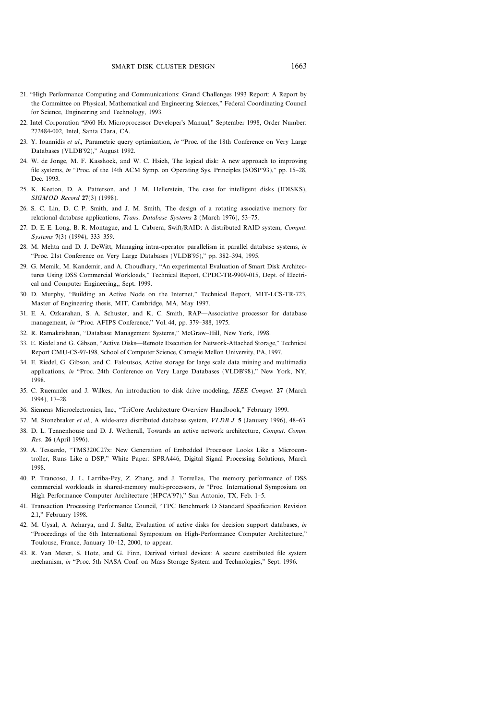- 21. "High Performance Computing and Communications: Grand Challenges 1993 Report: A Report by the Committee on Physical, Mathematical and Engineering Sciences,'' Federal Coordinating Council for Science, Engineering and Technology, 1993.
- 22. Intel Corporation "i960 Hx Microprocessor Developer's Manual," September 1998, Order Number: 272484-002, Intel, Santa Clara, CA.
- 23. Y. Ioannidis et al., Parametric query optimization, in "Proc. of the 18th Conference on Very Large Databases (VLDB'92)," August 1992.
- 24. W. de Jonge, M. F. Kasshoek, and W. C. Hsieh, The logical disk: A new approach to improving file systems, in "Proc. of the 14th ACM Symp. on Operating Sys. Principles (SOSP'93)," pp. 15–28, Dec. 1993.
- 25. K. Keeton, D. A. Patterson, and J. M. Hellerstein, The case for intelligent disks (IDISKS), SIGMOD Record 27(3) (1998).
- 26. S. C. Lin, D. C. P. Smith, and J. M. Smith, The design of a rotating associative memory for relational database applications, Trans. Database Systems 2 (March 1976), 53-75.
- 27. D. E. E. Long, B. R. Montague, and L. Cabrera, Swift/RAID: A distributed RAID system, Comput. Systems 7(3) (1994), 333-359.
- 28. M. Mehta and D. J. DeWitt, Managing intra-operator parallelism in parallel database systems, in "Proc. 21st Conference on Very Large Databases (VLDB'95)," pp. 382-394, 1995.
- 29. G. Memik, M. Kandemir, and A. Choudhary, "An experimental Evaluation of Smart Disk Architectures Using DSS Commercial Workloads,'' Technical Report, CPDC-TR-9909-015, Dept. of Electrical and Computer Engineering,, Sept. 1999.
- 30. D. Murphy, "Building an Active Node on the Internet," Technical Report, MIT-LCS-TR-723, Master of Engineering thesis, MIT, Cambridge, MA, May 1997.
- 31. E. A. Ozkarahan, S. A. Schuster, and K. C. Smith, RAP-Associative processor for database management, in "Proc. AFIPS Conference," Vol. 44, pp. 379-388, 1975.
- 32. R. Ramakrishnan, "Database Management Systems," McGraw-Hill, New York, 1998.
- 33. E. Riedel and G. Gibson, "Active Disks—Remote Execution for Network-Attached Storage," Technical Report CMU-CS-97-198, School of Computer Science, Carnegie Mellon University, PA, 1997.
- 34. E. Riedel, G. Gibson, and C. Faloutsos, Active storage for large scale data mining and multimedia applications, in "Proc. 24th Conference on Very Large Databases (VLDB'98)," New York, NY, 1998.
- 35. C. Ruemmler and J. Wilkes, An introduction to disk drive modeling, IEEE Comput. 27 (March 1994), 17-28.
- 36. Siemens Microelectronics, Inc., "TriCore Architecture Overview Handbook," February 1999.
- 37. M. Stonebraker et al., A wide-area distributed database system, *VLDB J.* 5 (January 1996), 48–63.
- 38. D. L. Tennenhouse and D. J. Wetherall, Towards an active network architecture, Comput. Comm. Rev. 26 (April 1996).
- 39. A. Tessardo, "TMS320C27x: New Generation of Embedded Processor Looks Like a Microcontroller, Runs Like a DSP,'' White Paper: SPRA446, Digital Signal Processing Solutions, March 1998.
- 40. P. Trancoso, J. L. Larriba-Pey, Z. Zhang, and J. Torrellas, The memory performance of DSS commercial workloads in shared-memory multi-processors, in "Proc. International Symposium on High Performance Computer Architecture (HPCA'97)," San Antonio, TX, Feb. 1-5.
- 41. Transaction Processing Performance Council, "TPC Benchmark D Standard Specification Revision 2.1,'' February 1998.
- 42. M. Uysal, A. Acharya, and J. Saltz, Evaluation of active disks for decision support databases, in ``Proceedings of the 6th International Symposium on High-Performance Computer Architecture,'' Toulouse, France, January 10-12, 2000, to appear.
- 43. R. Van Meter, S. Hotz, and G. Finn, Derived virtual devices: A secure destributed file system mechanism, in "Proc. 5th NASA Conf. on Mass Storage System and Technologies," Sept. 1996.